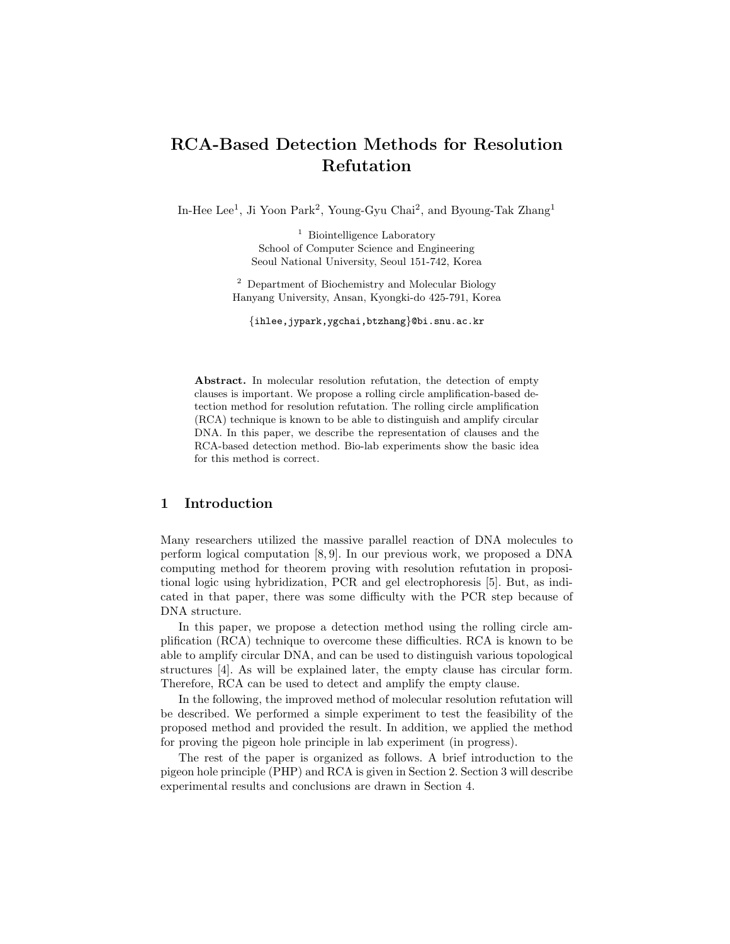# RCA-Based Detection Methods for Resolution Refutation

In-Hee Lee<sup>1</sup>, Ji Yoon Park<sup>2</sup>, Young-Gyu Chai<sup>2</sup>, and Byoung-Tak Zhang<sup>1</sup>

<sup>1</sup> Biointelligence Laboratory School of Computer Science and Engineering Seoul National University, Seoul 151-742, Korea

<sup>2</sup> Department of Biochemistry and Molecular Biology Hanyang University, Ansan, Kyongki-do 425-791, Korea

{ihlee,jypark,ygchai,btzhang}@bi.snu.ac.kr

Abstract. In molecular resolution refutation, the detection of empty clauses is important. We propose a rolling circle amplification-based detection method for resolution refutation. The rolling circle amplification (RCA) technique is known to be able to distinguish and amplify circular DNA. In this paper, we describe the representation of clauses and the RCA-based detection method. Bio-lab experiments show the basic idea for this method is correct.

# 1 Introduction

Many researchers utilized the massive parallel reaction of DNA molecules to perform logical computation [8, 9]. In our previous work, we proposed a DNA computing method for theorem proving with resolution refutation in propositional logic using hybridization, PCR and gel electrophoresis [5]. But, as indicated in that paper, there was some difficulty with the PCR step because of DNA structure.

In this paper, we propose a detection method using the rolling circle amplification (RCA) technique to overcome these difficulties. RCA is known to be able to amplify circular DNA, and can be used to distinguish various topological structures [4]. As will be explained later, the empty clause has circular form. Therefore, RCA can be used to detect and amplify the empty clause.

In the following, the improved method of molecular resolution refutation will be described. We performed a simple experiment to test the feasibility of the proposed method and provided the result. In addition, we applied the method for proving the pigeon hole principle in lab experiment (in progress).

The rest of the paper is organized as follows. A brief introduction to the pigeon hole principle (PHP) and RCA is given in Section 2. Section 3 will describe experimental results and conclusions are drawn in Section 4.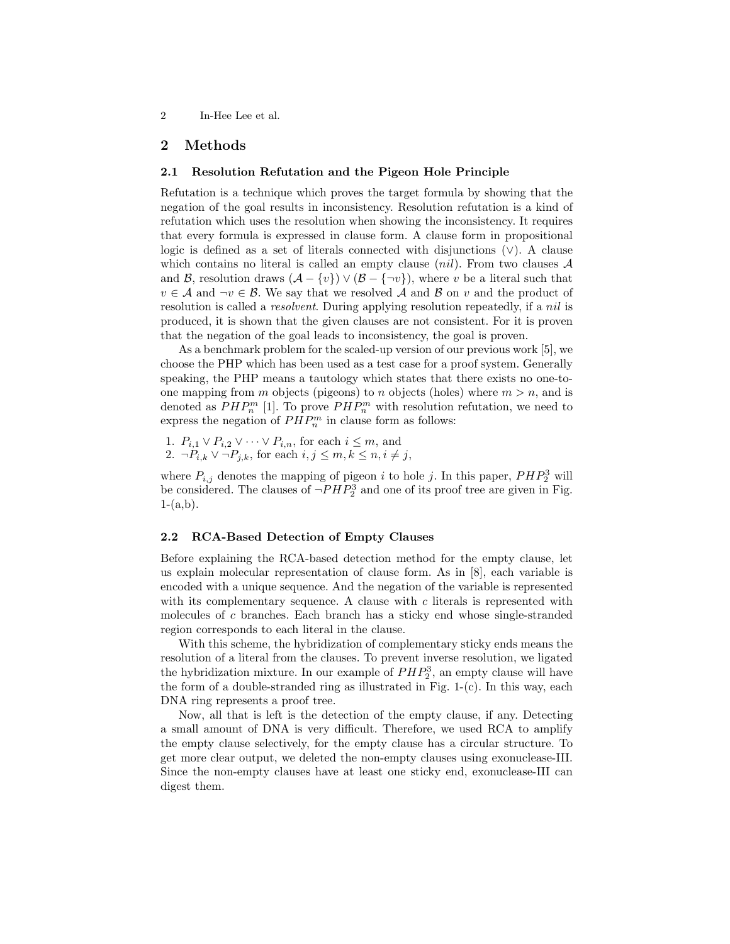2 In-Hee Lee et al.

# 2 Methods

#### 2.1 Resolution Refutation and the Pigeon Hole Principle

Refutation is a technique which proves the target formula by showing that the negation of the goal results in inconsistency. Resolution refutation is a kind of refutation which uses the resolution when showing the inconsistency. It requires that every formula is expressed in clause form. A clause form in propositional logic is defined as a set of literals connected with disjunctions (∨). A clause which contains no literal is called an empty clause  $(nil)$ . From two clauses A and B, resolution draws  $(A - \{v\}) \vee (B - \{\neg v\})$ , where v be a literal such that  $v \in A$  and  $\neg v \in B$ . We say that we resolved A and B on v and the product of resolution is called a *resolvent*. During applying resolution repeatedly, if a *nil* is produced, it is shown that the given clauses are not consistent. For it is proven that the negation of the goal leads to inconsistency, the goal is proven.

As a benchmark problem for the scaled-up version of our previous work [5], we choose the PHP which has been used as a test case for a proof system. Generally speaking, the PHP means a tautology which states that there exists no one-toone mapping from m objects (pigeons) to n objects (holes) where  $m > n$ , and is denoted as  $PHP_n^m$  [1]. To prove  $PHP_n^m$  with resolution refutation, we need to express the negation of  $PHP_n^m$  in clause form as follows:

1.  $P_{i,1} \vee P_{i,2} \vee \cdots \vee P_{i,n}$ , for each  $i \leq m$ , and 2.  $\neg P_{i,k} \lor \neg P_{j,k}$ , for each  $i, j \leq m, k \leq n, i \neq j$ ,

where  $P_{i,j}$  denotes the mapping of pigeon i to hole j. In this paper,  $PHP_2^3$  will be considered. The clauses of  $\neg PHP_2^3$  and one of its proof tree are given in Fig.  $1-(a,b)$ .

#### 2.2 RCA-Based Detection of Empty Clauses

Before explaining the RCA-based detection method for the empty clause, let us explain molecular representation of clause form. As in [8], each variable is encoded with a unique sequence. And the negation of the variable is represented with its complementary sequence. A clause with  $c$  literals is represented with molecules of c branches. Each branch has a sticky end whose single-stranded region corresponds to each literal in the clause.

With this scheme, the hybridization of complementary sticky ends means the resolution of a literal from the clauses. To prevent inverse resolution, we ligated the hybridization mixture. In our example of  $PHP<sub>2</sub><sup>3</sup>$ , an empty clause will have the form of a double-stranded ring as illustrated in Fig. 1-(c). In this way, each DNA ring represents a proof tree.

Now, all that is left is the detection of the empty clause, if any. Detecting a small amount of DNA is very difficult. Therefore, we used RCA to amplify the empty clause selectively, for the empty clause has a circular structure. To get more clear output, we deleted the non-empty clauses using exonuclease-III. Since the non-empty clauses have at least one sticky end, exonuclease-III can digest them.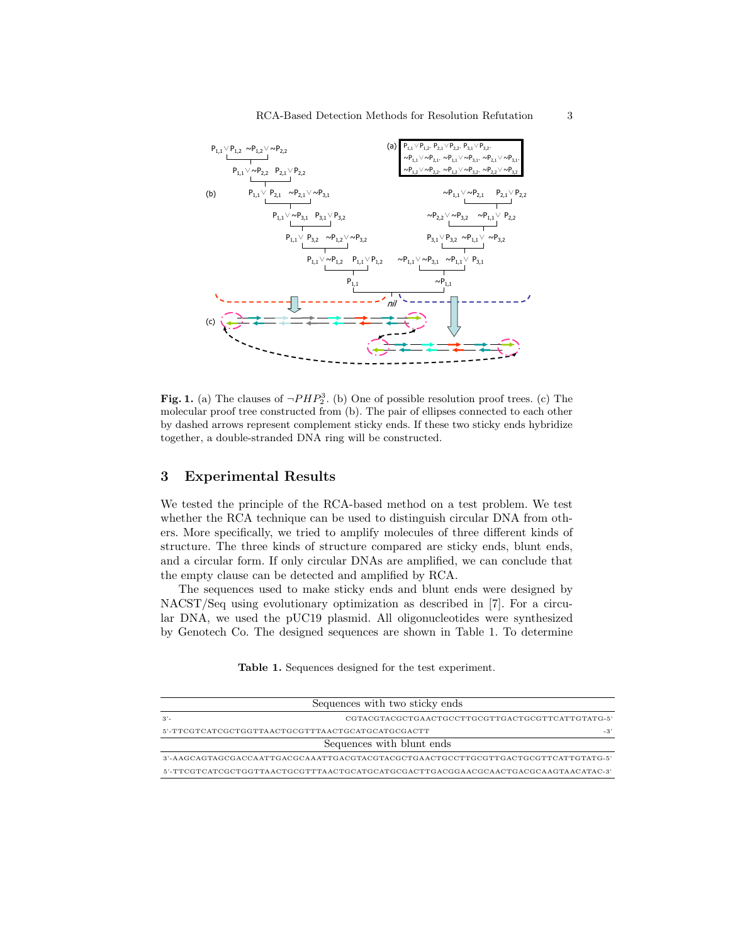

Fig. 1. (a) The clauses of  $\neg PHP_2^3$ . (b) One of possible resolution proof trees. (c) The molecular proof tree constructed from (b). The pair of ellipses connected to each other by dashed arrows represent complement sticky ends. If these two sticky ends hybridize together, a double-stranded DNA ring will be constructed.

# 3 Experimental Results

We tested the principle of the RCA-based method on a test problem. We test whether the RCA technique can be used to distinguish circular DNA from others. More specifically, we tried to amplify molecules of three different kinds of structure. The three kinds of structure compared are sticky ends, blunt ends, and a circular form. If only circular DNAs are amplified, we can conclude that the empty clause can be detected and amplified by RCA.

The sequences used to make sticky ends and blunt ends were designed by NACST/Seq using evolutionary optimization as described in [7]. For a circular DNA, we used the pUC19 plasmid. All oligonucleotides were synthesized by Genotech Co. The designed sequences are shown in Table 1. To determine

Table 1. Sequences designed for the test experiment.

| Sequences with two sticky ends                             |  |  |
|------------------------------------------------------------|--|--|
| $3'$ -<br>CGTACGTACGCTGAACTGCCTTGCGTTGACTGCGTTCATTGTATG-5' |  |  |
| $-3'$                                                      |  |  |
| Sequences with blunt ends                                  |  |  |
|                                                            |  |  |
|                                                            |  |  |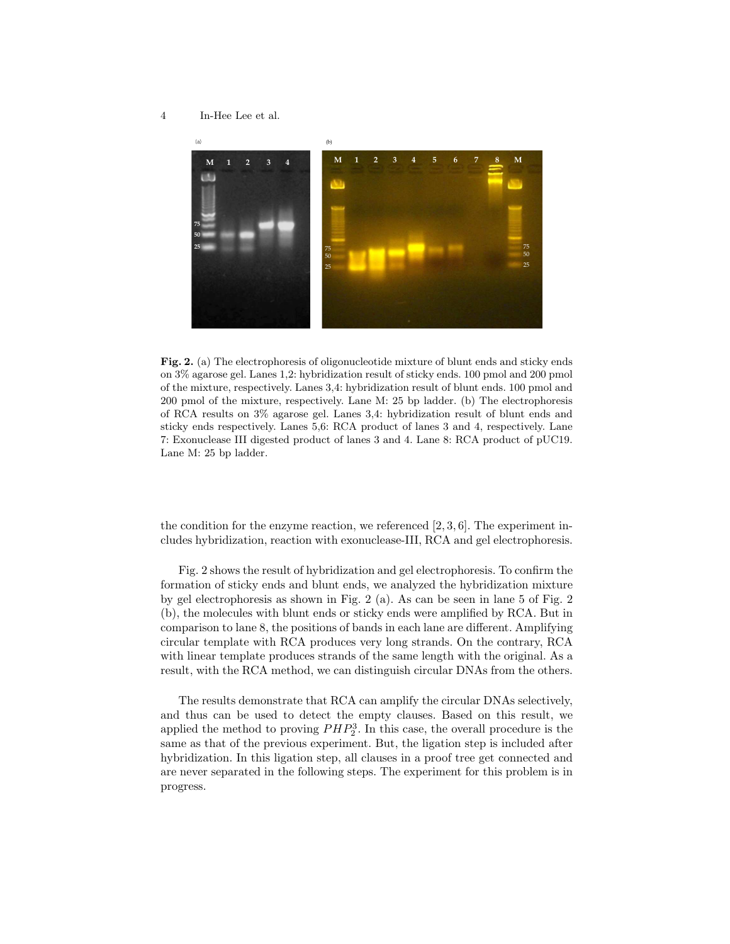4 In-Hee Lee et al.



Fig. 2. (a) The electrophoresis of oligonucleotide mixture of blunt ends and sticky ends on 3% agarose gel. Lanes 1,2: hybridization result of sticky ends. 100 pmol and 200 pmol of the mixture, respectively. Lanes 3,4: hybridization result of blunt ends. 100 pmol and 200 pmol of the mixture, respectively. Lane M: 25 bp ladder. (b) The electrophoresis of RCA results on 3% agarose gel. Lanes 3,4: hybridization result of blunt ends and sticky ends respectively. Lanes 5,6: RCA product of lanes 3 and 4, respectively. Lane 7: Exonuclease III digested product of lanes 3 and 4. Lane 8: RCA product of pUC19. Lane M: 25 bp ladder.

the condition for the enzyme reaction, we referenced  $[2, 3, 6]$ . The experiment includes hybridization, reaction with exonuclease-III, RCA and gel electrophoresis.

Fig. 2 shows the result of hybridization and gel electrophoresis. To confirm the formation of sticky ends and blunt ends, we analyzed the hybridization mixture by gel electrophoresis as shown in Fig. 2 (a). As can be seen in lane 5 of Fig. 2 (b), the molecules with blunt ends or sticky ends were amplified by RCA. But in comparison to lane 8, the positions of bands in each lane are different. Amplifying circular template with RCA produces very long strands. On the contrary, RCA with linear template produces strands of the same length with the original. As a result, with the RCA method, we can distinguish circular DNAs from the others.

The results demonstrate that RCA can amplify the circular DNAs selectively, and thus can be used to detect the empty clauses. Based on this result, we applied the method to proving  $PHP_2^3$ . In this case, the overall procedure is the same as that of the previous experiment. But, the ligation step is included after hybridization. In this ligation step, all clauses in a proof tree get connected and are never separated in the following steps. The experiment for this problem is in progress.